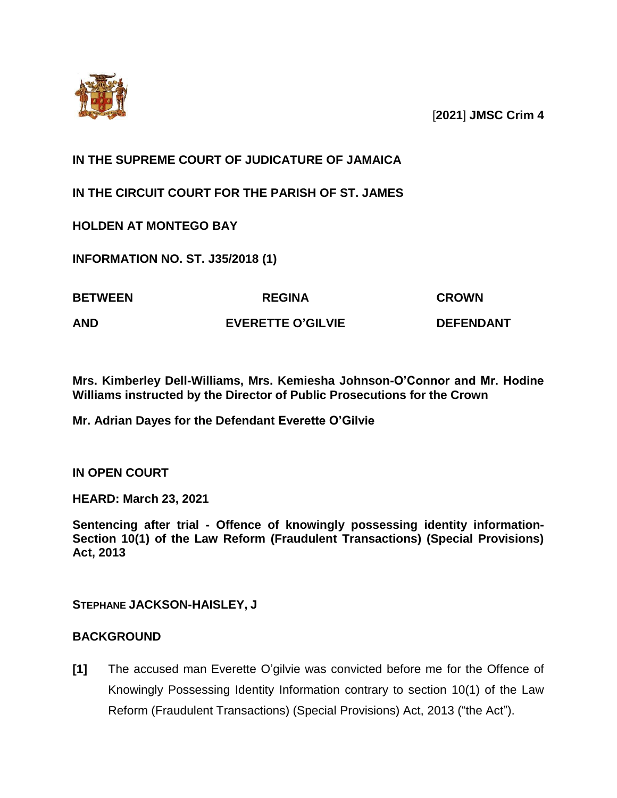

[**2021**] **JMSC Crim 4**

# **IN THE SUPREME COURT OF JUDICATURE OF JAMAICA**

**IN THE CIRCUIT COURT FOR THE PARISH OF ST. JAMES**

**HOLDEN AT MONTEGO BAY**

**INFORMATION NO. ST. J35/2018 (1)**

| <b>BETWEEN</b> | <b>REGINA</b>            | <b>CROWN</b>     |
|----------------|--------------------------|------------------|
| AND            | <b>EVERETTE O'GILVIE</b> | <b>DEFENDANT</b> |

**Mrs. Kimberley Dell-Williams, Mrs. Kemiesha Johnson-O'Connor and Mr. Hodine Williams instructed by the Director of Public Prosecutions for the Crown**

**Mr. Adrian Dayes for the Defendant Everette O'Gilvie**

**IN OPEN COURT**

**HEARD: March 23, 2021**

**Sentencing after trial - Offence of knowingly possessing identity information-Section 10(1) of the Law Reform (Fraudulent Transactions) (Special Provisions) Act, 2013**

**STEPHANE JACKSON-HAISLEY, J**

# **BACKGROUND**

**[1]** The accused man Everette O'gilvie was convicted before me for the Offence of Knowingly Possessing Identity Information contrary to section 10(1) of the Law Reform (Fraudulent Transactions) (Special Provisions) Act, 2013 ("the Act").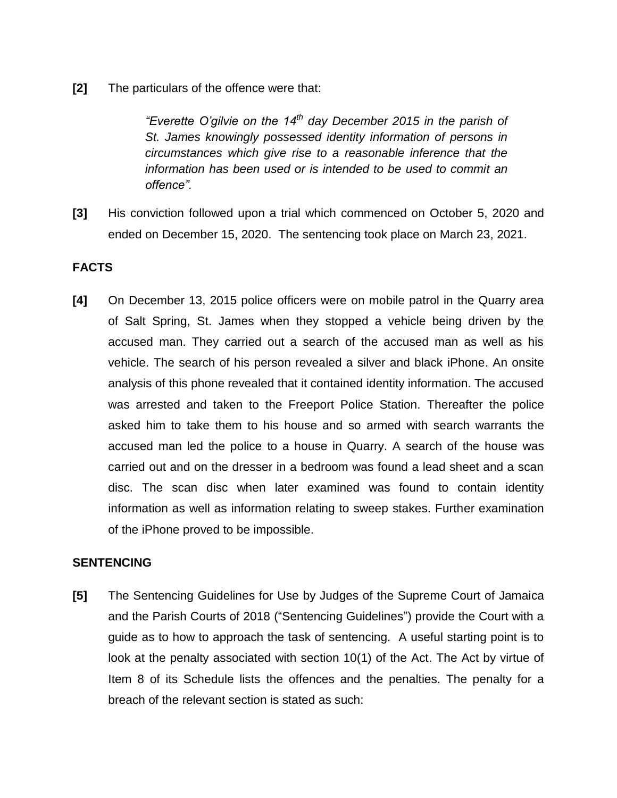**[2]** The particulars of the offence were that:

*"Everette O'gilvie on the 14th day December 2015 in the parish of St. James knowingly possessed identity information of persons in circumstances which give rise to a reasonable inference that the information has been used or is intended to be used to commit an offence".*

**[3]** His conviction followed upon a trial which commenced on October 5, 2020 and ended on December 15, 2020. The sentencing took place on March 23, 2021.

## **FACTS**

**[4]** On December 13, 2015 police officers were on mobile patrol in the Quarry area of Salt Spring, St. James when they stopped a vehicle being driven by the accused man. They carried out a search of the accused man as well as his vehicle. The search of his person revealed a silver and black iPhone. An onsite analysis of this phone revealed that it contained identity information. The accused was arrested and taken to the Freeport Police Station. Thereafter the police asked him to take them to his house and so armed with search warrants the accused man led the police to a house in Quarry. A search of the house was carried out and on the dresser in a bedroom was found a lead sheet and a scan disc. The scan disc when later examined was found to contain identity information as well as information relating to sweep stakes. Further examination of the iPhone proved to be impossible.

#### **SENTENCING**

**[5]** The Sentencing Guidelines for Use by Judges of the Supreme Court of Jamaica and the Parish Courts of 2018 ("Sentencing Guidelines") provide the Court with a guide as to how to approach the task of sentencing. A useful starting point is to look at the penalty associated with section 10(1) of the Act. The Act by virtue of Item 8 of its Schedule lists the offences and the penalties. The penalty for a breach of the relevant section is stated as such: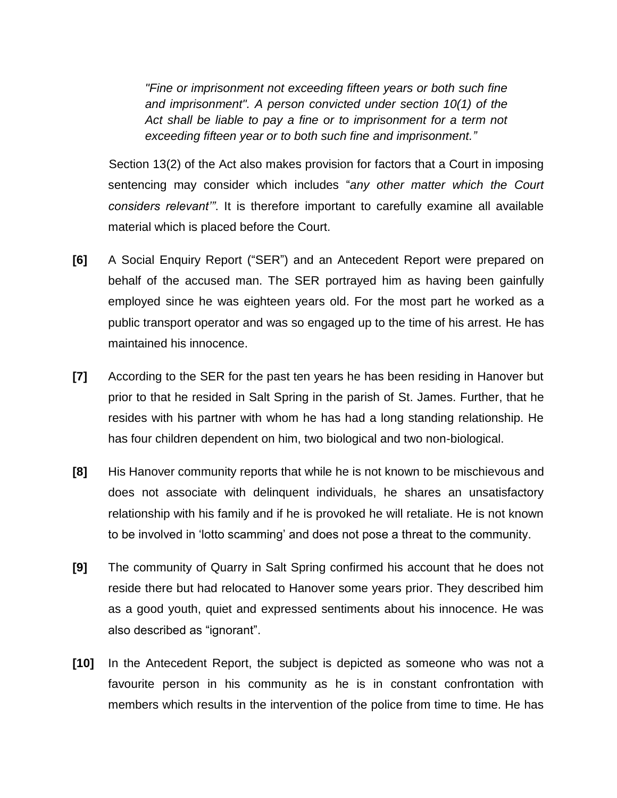*"Fine or imprisonment not exceeding fifteen years or both such fine and imprisonment". A person convicted under section 10(1) of the Act shall be liable to pay a fine or to imprisonment for a term not exceeding fifteen year or to both such fine and imprisonment."*

Section 13(2) of the Act also makes provision for factors that a Court in imposing sentencing may consider which includes "*any other matter which the Court considers relevant'"*. It is therefore important to carefully examine all available material which is placed before the Court.

- **[6]** A Social Enquiry Report ("SER") and an Antecedent Report were prepared on behalf of the accused man. The SER portrayed him as having been gainfully employed since he was eighteen years old. For the most part he worked as a public transport operator and was so engaged up to the time of his arrest. He has maintained his innocence.
- **[7]** According to the SER for the past ten years he has been residing in Hanover but prior to that he resided in Salt Spring in the parish of St. James. Further, that he resides with his partner with whom he has had a long standing relationship. He has four children dependent on him, two biological and two non-biological.
- **[8]** His Hanover community reports that while he is not known to be mischievous and does not associate with delinquent individuals, he shares an unsatisfactory relationship with his family and if he is provoked he will retaliate. He is not known to be involved in 'lotto scamming' and does not pose a threat to the community.
- **[9]** The community of Quarry in Salt Spring confirmed his account that he does not reside there but had relocated to Hanover some years prior. They described him as a good youth, quiet and expressed sentiments about his innocence. He was also described as "ignorant".
- **[10]** In the Antecedent Report, the subject is depicted as someone who was not a favourite person in his community as he is in constant confrontation with members which results in the intervention of the police from time to time. He has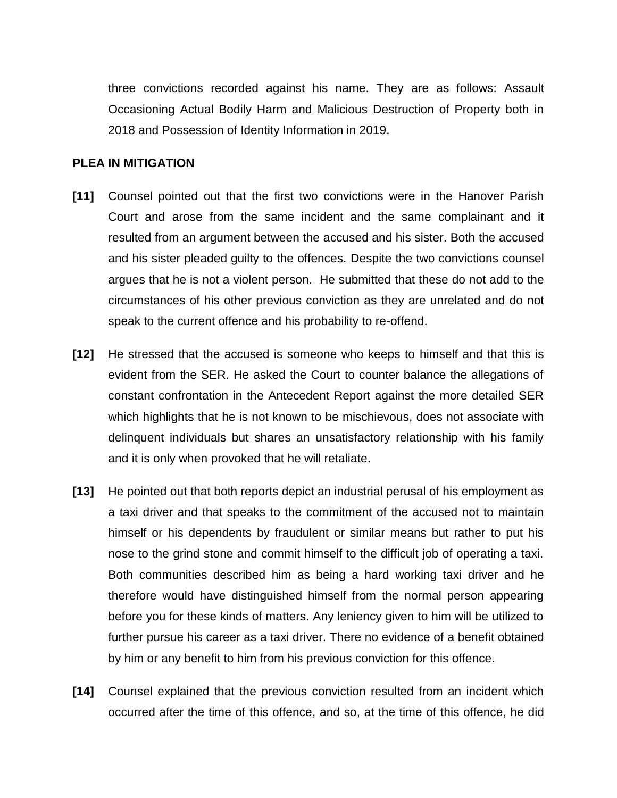three convictions recorded against his name. They are as follows: Assault Occasioning Actual Bodily Harm and Malicious Destruction of Property both in 2018 and Possession of Identity Information in 2019.

### **PLEA IN MITIGATION**

- **[11]** Counsel pointed out that the first two convictions were in the Hanover Parish Court and arose from the same incident and the same complainant and it resulted from an argument between the accused and his sister. Both the accused and his sister pleaded guilty to the offences. Despite the two convictions counsel argues that he is not a violent person. He submitted that these do not add to the circumstances of his other previous conviction as they are unrelated and do not speak to the current offence and his probability to re-offend.
- **[12]** He stressed that the accused is someone who keeps to himself and that this is evident from the SER. He asked the Court to counter balance the allegations of constant confrontation in the Antecedent Report against the more detailed SER which highlights that he is not known to be mischievous, does not associate with delinquent individuals but shares an unsatisfactory relationship with his family and it is only when provoked that he will retaliate.
- **[13]** He pointed out that both reports depict an industrial perusal of his employment as a taxi driver and that speaks to the commitment of the accused not to maintain himself or his dependents by fraudulent or similar means but rather to put his nose to the grind stone and commit himself to the difficult job of operating a taxi. Both communities described him as being a hard working taxi driver and he therefore would have distinguished himself from the normal person appearing before you for these kinds of matters. Any leniency given to him will be utilized to further pursue his career as a taxi driver. There no evidence of a benefit obtained by him or any benefit to him from his previous conviction for this offence.
- **[14]** Counsel explained that the previous conviction resulted from an incident which occurred after the time of this offence, and so, at the time of this offence, he did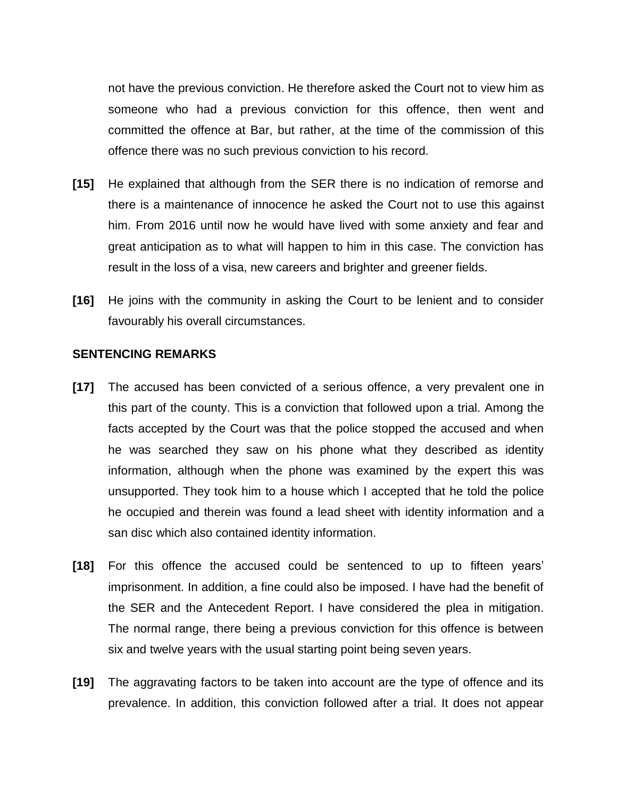not have the previous conviction. He therefore asked the Court not to view him as someone who had a previous conviction for this offence, then went and committed the offence at Bar, but rather, at the time of the commission of this offence there was no such previous conviction to his record.

- **[15]** He explained that although from the SER there is no indication of remorse and there is a maintenance of innocence he asked the Court not to use this against him. From 2016 until now he would have lived with some anxiety and fear and great anticipation as to what will happen to him in this case. The conviction has result in the loss of a visa, new careers and brighter and greener fields.
- **[16]** He joins with the community in asking the Court to be lenient and to consider favourably his overall circumstances.

#### **SENTENCING REMARKS**

- **[17]** The accused has been convicted of a serious offence, a very prevalent one in this part of the county. This is a conviction that followed upon a trial. Among the facts accepted by the Court was that the police stopped the accused and when he was searched they saw on his phone what they described as identity information, although when the phone was examined by the expert this was unsupported. They took him to a house which I accepted that he told the police he occupied and therein was found a lead sheet with identity information and a san disc which also contained identity information.
- **[18]** For this offence the accused could be sentenced to up to fifteen years' imprisonment. In addition, a fine could also be imposed. I have had the benefit of the SER and the Antecedent Report. I have considered the plea in mitigation. The normal range, there being a previous conviction for this offence is between six and twelve years with the usual starting point being seven years.
- **[19]** The aggravating factors to be taken into account are the type of offence and its prevalence. In addition, this conviction followed after a trial. It does not appear